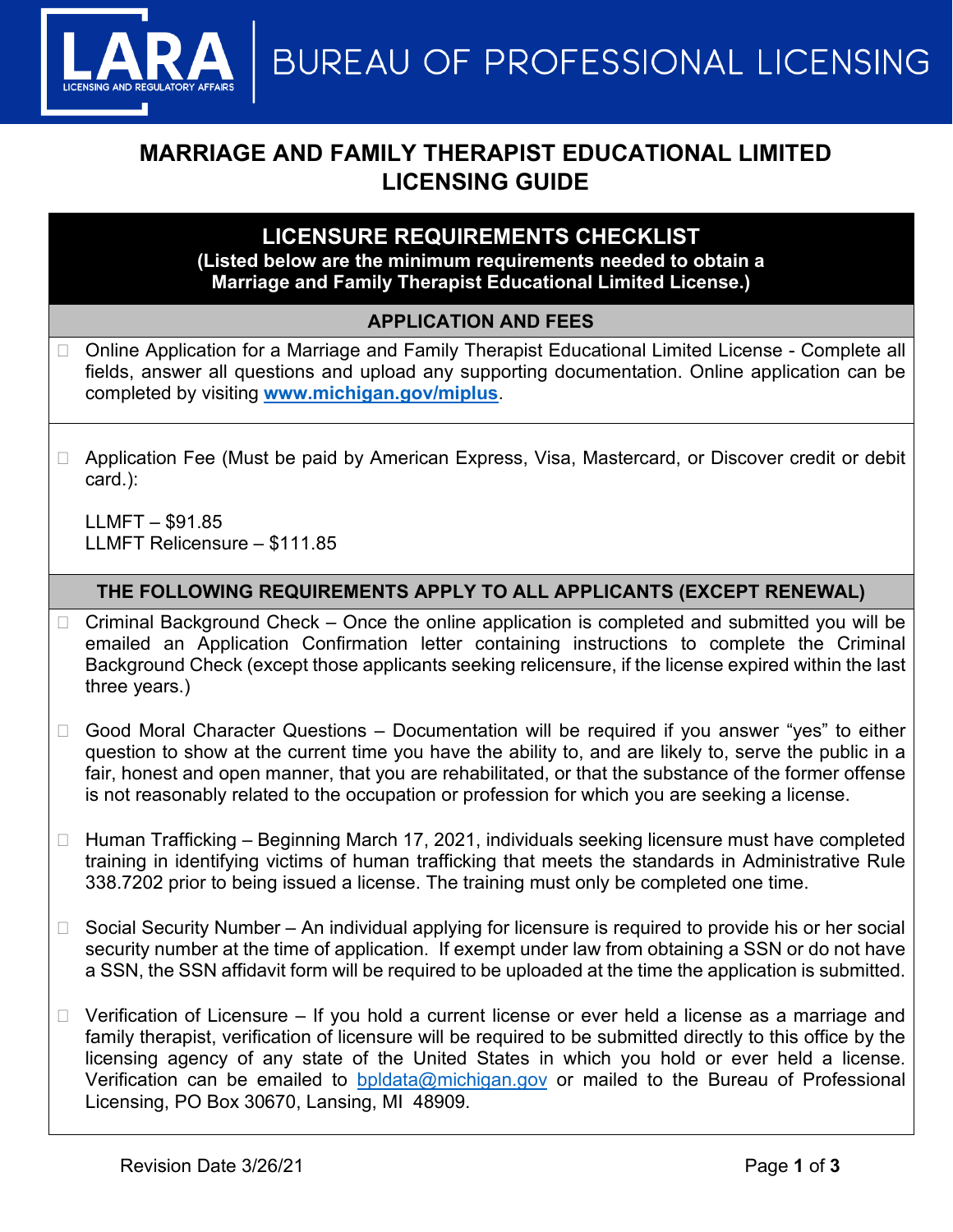**BUREAU OF PROFESSIONAL LICENSING** 

# **MARRIAGE AND FAMILY THERAPIST EDUCATIONAL LIMITED LICENSING GUIDE**

## **LICENSURE REQUIREMENTS CHECKLIST**

#### **(Listed below are the minimum requirements needed to obtain a Marriage and Family Therapist Educational Limited License.)**

#### **APPLICATION AND FEES**

- □ Online Application for a Marriage and Family Therapist Educational Limited License Complete all fields, answer all questions and upload any supporting documentation. Online application can be completed by visiting **[www.michigan.gov/miplus](http://www.michigan.gov/miplus)**.
- □ Application Fee (Must be paid by American Express, Visa, Mastercard, or Discover credit or debit card.):

LLMFT – \$91.85 LLMFT Relicensure – \$111.85

#### **THE FOLLOWING REQUIREMENTS APPLY TO ALL APPLICANTS (EXCEPT RENEWAL)**

- $\Box$  Criminal Background Check Once the online application is completed and submitted you will be emailed an Application Confirmation letter containing instructions to complete the Criminal Background Check (except those applicants seeking relicensure, if the license expired within the last three years.)
- $\Box$  Good Moral Character Questions Documentation will be required if you answer "yes" to either question to show at the current time you have the ability to, and are likely to, serve the public in a fair, honest and open manner, that you are rehabilitated, or that the substance of the former offense is not reasonably related to the occupation or profession for which you are seeking a license.
- $\Box$  Human Trafficking Beginning March 17, 2021, individuals seeking licensure must have completed training in identifying victims of human trafficking that meets the standards in Administrative Rule 338.7202 prior to being issued a license. The training must only be completed one time.
- $\Box$  Social Security Number An individual applying for licensure is required to provide his or her social security number at the time of application. If exempt under law from obtaining a SSN or do not have a SSN, the SSN affidavit form will be required to be uploaded at the time the application is submitted.
- $\Box$  Verification of Licensure If you hold a current license or ever held a license as a marriage and family therapist, verification of licensure will be required to be submitted directly to this office by the licensing agency of any state of the United States in which you hold or ever held a license. Verification can be emailed to **[bpldata@michigan.gov](mailto:bpldata@michigan.gov)** or mailed to the Bureau of Professional Licensing, PO Box 30670, Lansing, MI 48909.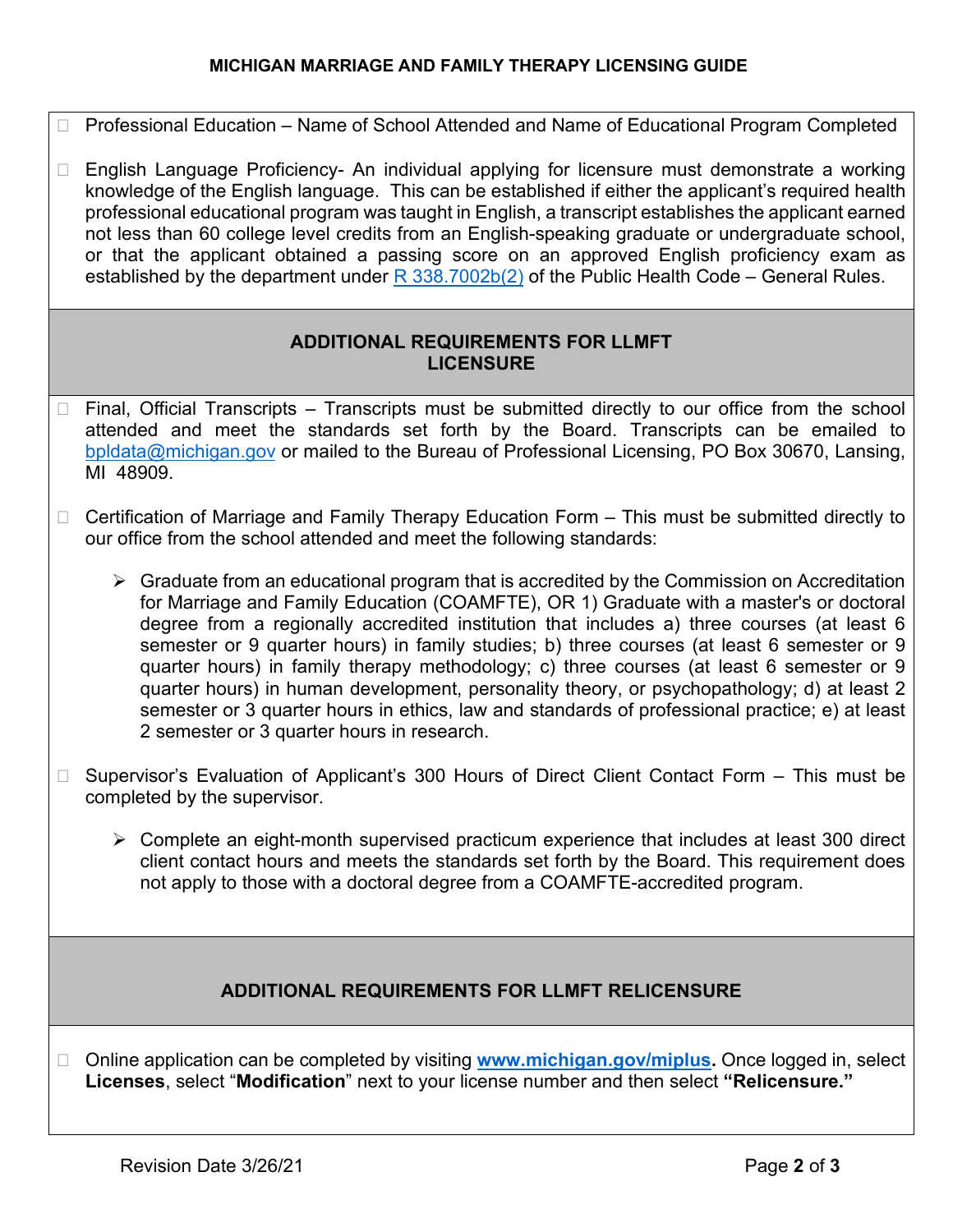#### **MICHIGAN MARRIAGE AND FAMILY THERAPY LICENSING GUIDE**

- □ Professional Education Name of School Attended and Name of Educational Program Completed
- □ English Language Proficiency- An individual applying for licensure must demonstrate a working knowledge of the English language. This can be established if either the applicant's required health professional educational program was taught in English, a transcript establishes the applicant earned not less than 60 college level credits from an English-speaking graduate or undergraduate school, or that the applicant obtained a passing score on an approved English proficiency exam as established by the department under  $R$  338.7002b(2) of the Public Health Code – General Rules.

#### **ADDITIONAL REQUIREMENTS FOR LLMFT LICENSURE**

- Final, Official Transcripts Transcripts must be submitted directly to our office from the school attended and meet the standards set forth by the Board. Transcripts can be emailed to [bpldata@michigan.gov](mailto:bpldata@michigan.gov) or mailed to the Bureau of Professional Licensing, PO Box 30670, Lansing, MI 48909.
- $\Box$  Certification of Marriage and Family Therapy Education Form  $-$  This must be submitted directly to our office from the school attended and meet the following standards:
	- $\triangleright$  Graduate from an educational program that is accredited by the Commission on Accreditation for Marriage and Family Education (COAMFTE), OR 1) Graduate with a master's or doctoral degree from a regionally accredited institution that includes a) three courses (at least 6 semester or 9 quarter hours) in family studies; b) three courses (at least 6 semester or 9 quarter hours) in family therapy methodology; c) three courses (at least 6 semester or 9 quarter hours) in human development, personality theory, or psychopathology; d) at least 2 semester or 3 quarter hours in ethics, law and standards of professional practice; e) at least 2 semester or 3 quarter hours in research.
- □ Supervisor's Evaluation of Applicant's 300 Hours of Direct Client Contact Form This must be completed by the supervisor.
	- Complete an eight-month supervised practicum experience that includes at least 300 direct client contact hours and meets the standards set forth by the Board. This requirement does not apply to those with a doctoral degree from a COAMFTE-accredited program.

### **ADDITIONAL REQUIREMENTS FOR LLMFT RELICENSURE**

□ Online application can be completed by visiting **www.michigan.gov/miplus**. Once logged in, select **Licenses**, select "**Modification**" next to your license number and then select **"Relicensure."**